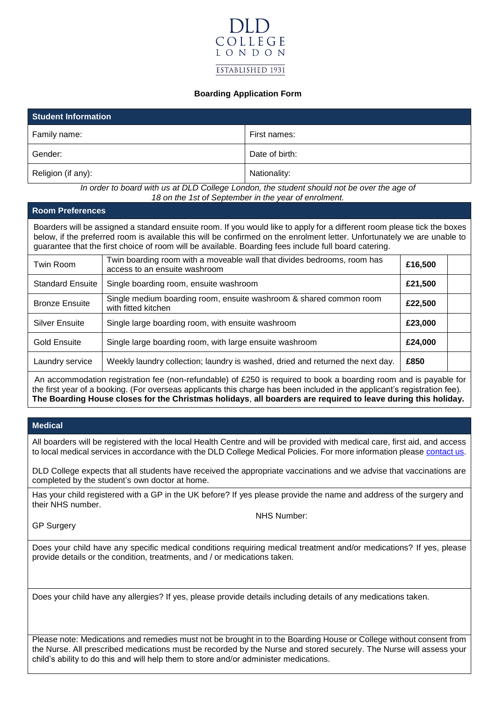

### **Boarding Application Form**

| <b>Student Information</b> |                |  |
|----------------------------|----------------|--|
| Family name:               | First names:   |  |
| Gender:                    | Date of birth: |  |
| Religion (if any):         | Nationality:   |  |

*In order to board with us at DLD College London, the student should not be over the age of 18 on the 1st of September in the year of enrolment.*

#### **Room Preferences**

Boarders will be assigned a standard ensuite room. If you would like to apply for a different room please tick the boxes below, if the preferred room is available this will be confirmed on the enrolment letter. Unfortunately we are unable to guarantee that the first choice of room will be available. Boarding fees include full board catering.

| Twin Room                                                                                                                                                                                                                               | Twin boarding room with a moveable wall that divides bedrooms, room has<br>access to an ensuite washroom | £16,500 |  |
|-----------------------------------------------------------------------------------------------------------------------------------------------------------------------------------------------------------------------------------------|----------------------------------------------------------------------------------------------------------|---------|--|
| <b>Standard Ensuite</b>                                                                                                                                                                                                                 | Single boarding room, ensuite washroom                                                                   | £21,500 |  |
| <b>Bronze Ensuite</b>                                                                                                                                                                                                                   | Single medium boarding room, ensuite washroom & shared common room<br>with fitted kitchen                | £22,500 |  |
| <b>Silver Ensuite</b>                                                                                                                                                                                                                   | Single large boarding room, with ensuite washroom                                                        | £23,000 |  |
| Gold Ensuite                                                                                                                                                                                                                            | Single large boarding room, with large ensuite washroom                                                  | £24,000 |  |
| Laundry service                                                                                                                                                                                                                         | Weekly laundry collection; laundry is washed, dried and returned the next day.                           | £850    |  |
| An accommodation registration fee (non-refundable) of £250 is required to book a boarding room and is payable for<br>the float cannot a headdam (Easternache modianute this shanna has head included in the modianutic occidential fact |                                                                                                          |         |  |

the first year of a booking. (For overseas applicants this charge has been included in the applicant's registration fee). **The Boarding House closes for the Christmas holidays**, **all boarders are required to leave during this holiday.**

### **Medical**

All boarders will be registered with the local Health Centre and will be provided with medical care, first aid, and access to local medical services in accordance with the DLD College Medical Policies. For more information please [contact us.](mailto:houseparents@dld.org)

DLD College expects that all students have received the appropriate vaccinations and we advise that vaccinations are completed by the student's own doctor at home.

Has your child registered with a GP in the UK before? If yes please provide the name and address of the surgery and their NHS number.

GP Surgery

NHS Number:

Does your child have any specific medical conditions requiring medical treatment and/or medications? If yes, please provide details or the condition, treatments, and / or medications taken.

Does your child have any allergies? If yes, please provide details including details of any medications taken.

Please note: Medications and remedies must not be brought in to the Boarding House or College without consent from the Nurse. All prescribed medications must be recorded by the Nurse and stored securely. The Nurse will assess your child's ability to do this and will help them to store and/or administer medications.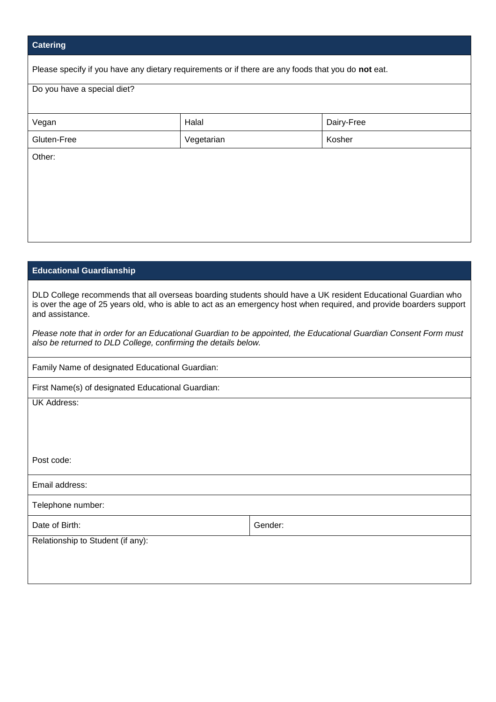# **Catering**

Please specify if you have any dietary requirements or if there are any foods that you do **not** eat.

| Do you have a special diet? |            |            |  |
|-----------------------------|------------|------------|--|
|                             |            |            |  |
| Vegan                       | Halal      | Dairy-Free |  |
| Gluten-Free                 | Vegetarian | Kosher     |  |
| Other:                      |            |            |  |
|                             |            |            |  |
|                             |            |            |  |
|                             |            |            |  |
|                             |            |            |  |

## **Educational Guardianship**

DLD College recommends that all overseas boarding students should have a UK resident Educational Guardian who is over the age of 25 years old, who is able to act as an emergency host when required, and provide boarders support and assistance.

*Please note that in order for an Educational Guardian to be appointed, the Educational Guardian Consent Form must also be returned to DLD College, confirming the details below.*

Family Name of designated Educational Guardian:

First Name(s) of designated Educational Guardian:

UK Address:

Post code:

Email address:

Telephone number:

Date of Birth: Sample of Birth: Sample of Birth: Sample of Birth: Sample of Birth: Sample of Birth: Sample of Birth: Sample of Birth: Sample of Birth: Sample of Birth: Sample of Birth: Sample of Birth: Sample of Birth: Sam

Relationship to Student (if any):